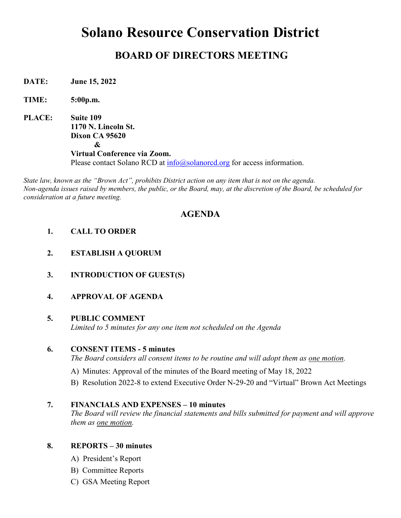# **Solano Resource Conservation District**

## **BOARD OF DIRECTORS MEETING**

**DATE: June 15, 2022**

**TIME: 5:00p.m.**

**PLACE: Suite 109 1170 N. Lincoln St. Dixon CA 95620 & Virtual Conference via Zoom.** Please contact Solano RCD at  $\inf_{\Omega}$  (a) alanored.org for access information.

*State law, known as the "Brown Act", prohibits District action on any item that is not on the agenda. Non-agenda issues raised by members, the public, or the Board, may, at the discretion of the Board, be scheduled for consideration at a future meeting.*

### **AGENDA**

- **1. CALL TO ORDER**
- **2. ESTABLISH A QUORUM**
- **3. INTRODUCTION OF GUEST(S)**
- **4. APPROVAL OF AGENDA**

#### **5. PUBLIC COMMENT**

*Limited to 5 minutes for any one item not scheduled on the Agenda*

#### **6. CONSENT ITEMS - 5 minutes**

*The Board considers all consent items to be routine and will adopt them as one motion.* 

- A) Minutes: Approval of the minutes of the Board meeting of May 18, 2022
- B) Resolution 2022-8 to extend Executive Order N-29-20 and "Virtual" Brown Act Meetings

#### **7. FINANCIALS AND EXPENSES – 10 minutes**

*The Board will review the financial statements and bills submitted for payment and will approve them as one motion.* 

#### **8. REPORTS – 30 minutes**

- A) President's Report
- B) Committee Reports
- C) GSA Meeting Report